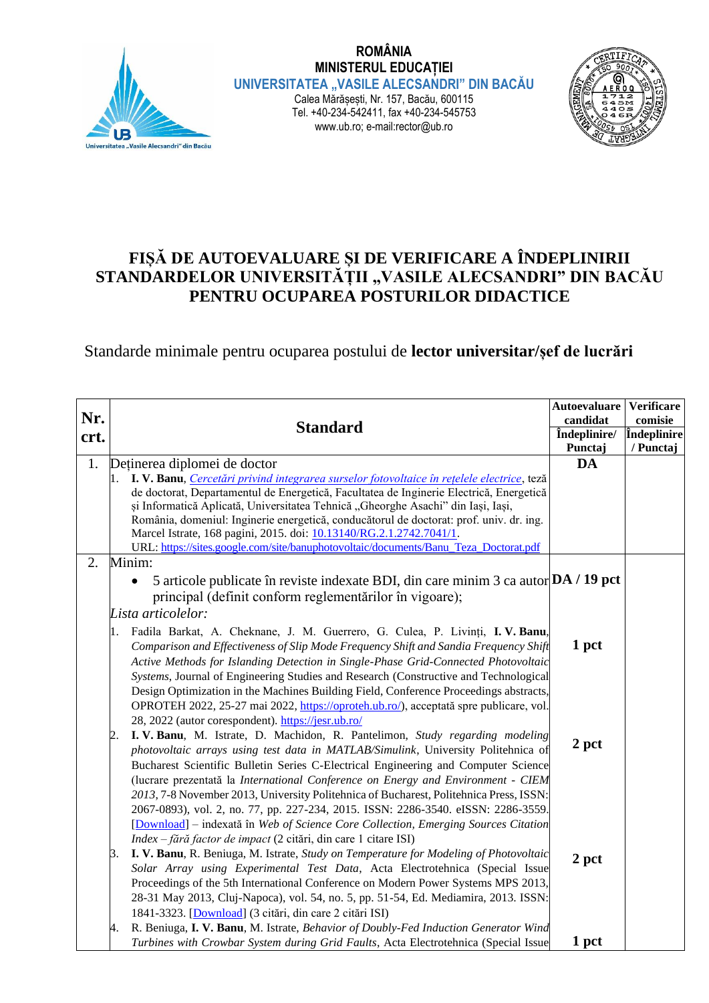

**ROMÂNIA MINISTERUL EDUCAȚIEI UNIVERSITATEA "VASILE ALECSANDRI" DIN BACĂU** Calea Mărășești, Nr. 157, Bacău, 600115 Tel. +40-234-542411, fax +40-234-545753 www.ub.ro; e-mail:rector@ub.ro



## **FIȘĂ DE AUTOEVALUARE ȘI DE VERIFICARE A ÎNDEPLINIRII**  STANDARDELOR UNIVERSITĂȚII "VASILE ALECSANDRI" DIN BACĂU **PENTRU OCUPAREA POSTURILOR DIDACTICE**

## Standarde minimale pentru ocuparea postului de **lector universitar/șef de lucrări**

| Nr.<br>crt. | <b>Standard</b>                                                                                                                                             | <b>Autoevaluare</b><br>candidat | <b>Verificare</b><br>comisie |
|-------------|-------------------------------------------------------------------------------------------------------------------------------------------------------------|---------------------------------|------------------------------|
|             |                                                                                                                                                             | Îndeplinire/                    | Îndeplinire                  |
|             |                                                                                                                                                             | Punctaj                         | / Punctaj                    |
| 1.          | Detinerea diplomei de doctor                                                                                                                                | DA                              |                              |
|             | I. V. Banu, Cercetări privind integrarea surselor fotovoltaice în rețelele electrice, teză                                                                  |                                 |                              |
|             | de doctorat, Departamentul de Energetică, Facultatea de Inginerie Electrică, Energetică                                                                     |                                 |                              |
|             | și Informatică Aplicată, Universitatea Tehnică "Gheorghe Asachi" din Iași, Iași,                                                                            |                                 |                              |
|             | România, domeniul: Inginerie energetică, conducătorul de doctorat: prof. univ. dr. ing.                                                                     |                                 |                              |
|             | Marcel Istrate, 168 pagini, 2015. doi: 10.13140/RG.2.1.2742.7041/1.<br>URL: https://sites.google.com/site/banuphotovoltaic/documents/Banu_Teza_Doctorat.pdf |                                 |                              |
|             |                                                                                                                                                             |                                 |                              |
| 2.          | Minim:                                                                                                                                                      |                                 |                              |
|             | 5 articole publicate în reviste indexate BDI, din care minim 3 ca autor DA / 19 pct<br>$\bullet$                                                            |                                 |                              |
|             | principal (definit conform reglementărilor în vigoare);                                                                                                     |                                 |                              |
|             | Lista articolelor:                                                                                                                                          |                                 |                              |
|             | Fadila Barkat, A. Cheknane, J. M. Guerrero, G. Culea, P. Livinți, I. V. Banu,<br>1.                                                                         |                                 |                              |
|             | Comparison and Effectiveness of Slip Mode Frequency Shift and Sandia Frequency Shift                                                                        | 1 pct                           |                              |
|             | Active Methods for Islanding Detection in Single-Phase Grid-Connected Photovoltaic                                                                          |                                 |                              |
|             | Systems, Journal of Engineering Studies and Research (Constructive and Technological                                                                        |                                 |                              |
|             | Design Optimization in the Machines Building Field, Conference Proceedings abstracts,                                                                       |                                 |                              |
|             | OPROTEH 2022, 25-27 mai 2022, https://oproteh.ub.ro/), acceptată spre publicare, vol.                                                                       |                                 |                              |
|             | 28, 2022 (autor corespondent). https://jesr.ub.ro/                                                                                                          |                                 |                              |
|             | I.V. Banu, M. Istrate, D. Machidon, R. Pantelimon, Study regarding modeling<br>2.                                                                           |                                 |                              |
|             | photovoltaic arrays using test data in MATLAB/Simulink, University Politehnica of                                                                           | 2 pct                           |                              |
|             | Bucharest Scientific Bulletin Series C-Electrical Engineering and Computer Science                                                                          |                                 |                              |
|             | (lucrare prezentată la International Conference on Energy and Environment - CIEM                                                                            |                                 |                              |
|             | 2013, 7-8 November 2013, University Politehnica of Bucharest, Politehnica Press, ISSN:                                                                      |                                 |                              |
|             | 2067-0893), vol. 2, no. 77, pp. 227-234, 2015. ISSN: 2286-3540. eISSN: 2286-3559.                                                                           |                                 |                              |
|             | [Download] - indexată în Web of Science Core Collection, Emerging Sources Citation                                                                          |                                 |                              |
|             | Index - fără factor de impact (2 citări, din care 1 citare ISI)                                                                                             |                                 |                              |
|             | I. V. Banu, R. Beniuga, M. Istrate, Study on Temperature for Modeling of Photovoltaic<br>3.                                                                 | 2 pct                           |                              |
|             | Solar Array using Experimental Test Data, Acta Electrotehnica (Special Issue                                                                                |                                 |                              |
|             | Proceedings of the 5th International Conference on Modern Power Systems MPS 2013,                                                                           |                                 |                              |
|             | 28-31 May 2013, Cluj-Napoca), vol. 54, no. 5, pp. 51-54, Ed. Mediamira, 2013. ISSN:                                                                         |                                 |                              |
|             | 1841-3323. [Download] (3 citări, din care 2 citări ISI)                                                                                                     |                                 |                              |
|             | R. Beniuga, I. V. Banu, M. Istrate, Behavior of Doubly-Fed Induction Generator Wind<br>4.                                                                   |                                 |                              |
|             | Turbines with Crowbar System during Grid Faults, Acta Electrotehnica (Special Issue                                                                         | 1 pct                           |                              |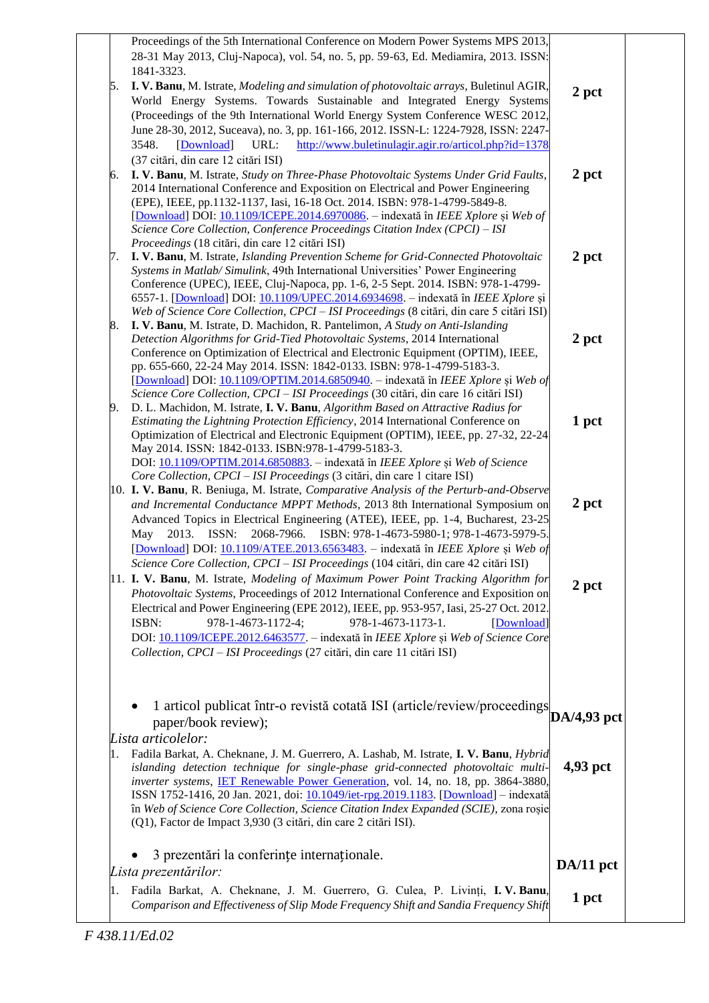|    | Proceedings of the 5th International Conference on Modern Power Systems MPS 2013,<br>28-31 May 2013, Cluj-Napoca), vol. 54, no. 5, pp. 59-63, Ed. Mediamira, 2013. ISSN:<br>1841-3323.                                                                                                                                                                                                                                                                                                                                                                                                         |           |
|----|------------------------------------------------------------------------------------------------------------------------------------------------------------------------------------------------------------------------------------------------------------------------------------------------------------------------------------------------------------------------------------------------------------------------------------------------------------------------------------------------------------------------------------------------------------------------------------------------|-----------|
| 5. | I. V. Banu, M. Istrate, Modeling and simulation of photovoltaic arrays, Buletinul AGIR,<br>World Energy Systems. Towards Sustainable and Integrated Energy Systems<br>(Proceedings of the 9th International World Energy System Conference WESC 2012,<br>June 28-30, 2012, Suceava), no. 3, pp. 161-166, 2012. ISSN-L: 1224-7928, ISSN: 2247-                                                                                                                                                                                                                                                  | 2 pct     |
| 6. | URL:<br>http://www.buletinulagir.agir.ro/articol.php?id=1378<br>3548.<br>[Download]<br>(37 citări, din care 12 citări ISI)<br>I. V. Banu, M. Istrate, Study on Three-Phase Photovoltaic Systems Under Grid Faults,<br>2014 International Conference and Exposition on Electrical and Power Engineering<br>(EPE), IEEE, pp.1132-1137, Iasi, 16-18 Oct. 2014. ISBN: 978-1-4799-5849-8.                                                                                                                                                                                                           | 2 pct     |
| 7. | [Download] DOI: 10.1109/ICEPE.2014.6970086. - indexată în IEEE Xplore și Web of<br>Science Core Collection, Conference Proceedings Citation Index (CPCI) - ISI<br>Proceedings (18 citări, din care 12 citări ISI)<br>I. V. Banu, M. Istrate, Islanding Prevention Scheme for Grid-Connected Photovoltaic                                                                                                                                                                                                                                                                                       | 2 pct     |
| 8. | Systems in Matlab/ Simulink, 49th International Universities' Power Engineering<br>Conference (UPEC), IEEE, Cluj-Napoca, pp. 1-6, 2-5 Sept. 2014. ISBN: 978-1-4799-<br>6557-1. [Download] DOI: 10.1109/UPEC.2014.6934698. - indexată în IEEE Xplore și<br>Web of Science Core Collection, CPCI - ISI Proceedings (8 citări, din care 5 citări ISI)<br>I. V. Banu, M. Istrate, D. Machidon, R. Pantelimon, A Study on Anti-Islanding                                                                                                                                                            |           |
|    | Detection Algorithms for Grid-Tied Photovoltaic Systems, 2014 International<br>Conference on Optimization of Electrical and Electronic Equipment (OPTIM), IEEE,<br>pp. 655-660, 22-24 May 2014. ISSN: 1842-0133. ISBN: 978-1-4799-5183-3.<br>[Download] DOI: 10.1109/OPTIM.2014.6850940. - indexată în IEEE Xplore și Web of<br>Science Core Collection, CPCI - ISI Proceedings (30 citări, din care 16 citări ISI)                                                                                                                                                                            | 2 pct     |
| 9. | D. L. Machidon, M. Istrate, I. V. Banu, Algorithm Based on Attractive Radius for<br>Estimating the Lightning Protection Efficiency, 2014 International Conference on<br>Optimization of Electrical and Electronic Equipment (OPTIM), IEEE, pp. 27-32, 22-24<br>May 2014. ISSN: 1842-0133. ISBN:978-1-4799-5183-3.<br>DOI: 10.1109/OPTIM.2014.6850883. - indexată în IEEE Xplore și Web of Science                                                                                                                                                                                              | 1 pct     |
|    | Core Collection, CPCI - ISI Proceedings (3 citări, din care 1 citare ISI)<br>10. I. V. Banu, R. Beniuga, M. Istrate, <i>Comparative Analysis of the Perturb-and-Observe</i><br>and Incremental Conductance MPPT Methods, 2013 8th International Symposium on<br>Advanced Topics in Electrical Engineering (ATEE), IEEE, pp. 1-4, Bucharest, 23-25<br>2013. ISSN:<br>2068-7966.<br>ISBN: 978-1-4673-5980-1; 978-1-4673-5979-5.<br>May<br>[Download] DOI: 10.1109/ATEE.2013.6563483. - indexată în IEEE Xplore și Web of                                                                         | 2 pct     |
|    | Science Core Collection, CPCI - ISI Proceedings (104 citări, din care 42 citări ISI)<br>11. I. V. Banu, M. Istrate, Modeling of Maximum Power Point Tracking Algorithm for<br>Photovoltaic Systems, Proceedings of 2012 International Conference and Exposition on<br>Electrical and Power Engineering (EPE 2012), IEEE, pp. 953-957, Iasi, 25-27 Oct. 2012.<br>978-1-4673-1172-4;<br>978-1-4673-1173-1.<br>ISBN:<br>[Download]<br>DOI: 10.1109/ICEPE.2012.6463577. – indexată în IEEE Xplore și Web of Science Core<br>Collection, CPCI - ISI Proceedings (27 citări, din care 11 citări ISI) | 2 pct     |
|    | 1 articol publicat într-o revistă cotată ISI (article/review/proceedings DA/4,93 pct<br>paper/book review);<br>Lista articolelor:                                                                                                                                                                                                                                                                                                                                                                                                                                                              |           |
| 1. | Fadila Barkat, A. Cheknane, J. M. Guerrero, A. Lashab, M. Istrate, I. V. Banu, Hybrid<br>islanding detection technique for single-phase grid-connected photovoltaic multi-<br>inverter systems, IET Renewable Power Generation, vol. 14, no. 18, pp. 3864-3880,<br>ISSN 1752-1416, 20 Jan. 2021, doi: 10.1049/iet-rpg. 2019.1183. [Download] – indexată<br>în Web of Science Core Collection, Science Citation Index Expanded (SCIE), zona roșie<br>(Q1), Factor de Impact 3,930 (3 citări, din care 2 citări ISI).                                                                            | 4,93 pct  |
|    | 3 prezentări la conferințe internaționale.<br>Lista prezentărilor:                                                                                                                                                                                                                                                                                                                                                                                                                                                                                                                             | DA/11 pct |
| 1. | Fadila Barkat, A. Cheknane, J. M. Guerrero, G. Culea, P. Livinți, I. V. Banu,<br>Comparison and Effectiveness of Slip Mode Frequency Shift and Sandia Frequency Shift                                                                                                                                                                                                                                                                                                                                                                                                                          | 1 pct     |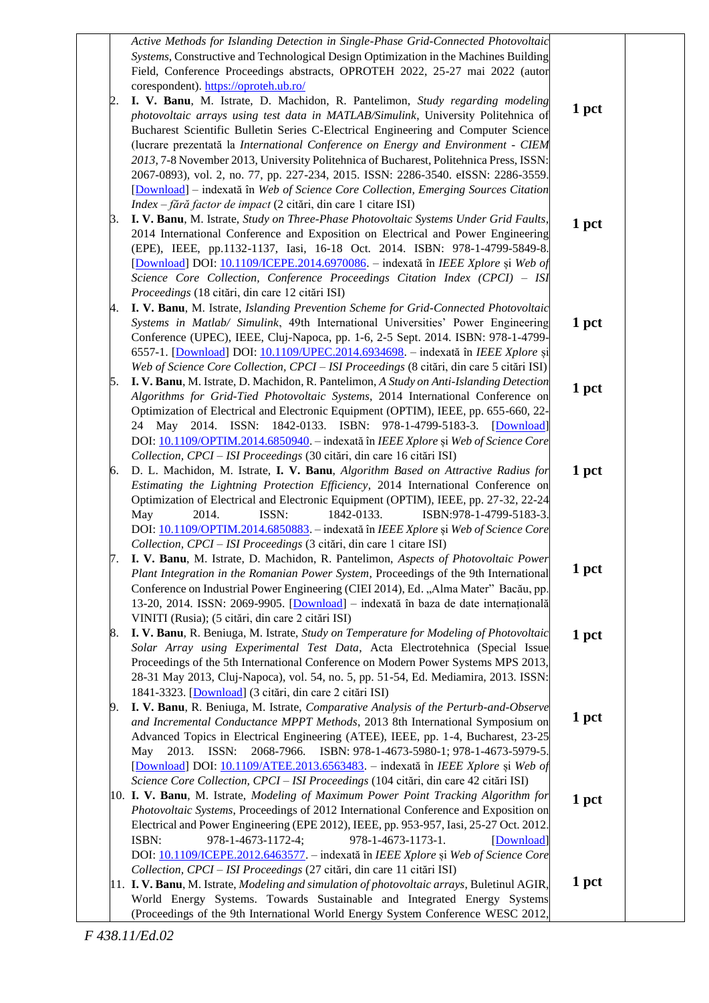|    | Active Methods for Islanding Detection in Single-Phase Grid-Connected Photovoltaic<br>Systems, Constructive and Technological Design Optimization in the Machines Building<br>Field, Conference Proceedings abstracts, OPROTEH 2022, 25-27 mai 2022 (autor<br>corespondent). https://oproteh.ub.ro/ |       |  |
|----|-----------------------------------------------------------------------------------------------------------------------------------------------------------------------------------------------------------------------------------------------------------------------------------------------------|-------|--|
| 2. | I. V. Banu, M. Istrate, D. Machidon, R. Pantelimon, Study regarding modeling                                                                                                                                                                                                                        |       |  |
|    | photovoltaic arrays using test data in MATLAB/Simulink, University Politehnica of                                                                                                                                                                                                                   | 1 pct |  |
|    | Bucharest Scientific Bulletin Series C-Electrical Engineering and Computer Science                                                                                                                                                                                                                  |       |  |
|    | (lucrare prezentată la International Conference on Energy and Environment - CIEM                                                                                                                                                                                                                    |       |  |
|    | 2013, 7-8 November 2013, University Politehnica of Bucharest, Politehnica Press, ISSN:                                                                                                                                                                                                              |       |  |
|    | 2067-0893), vol. 2, no. 77, pp. 227-234, 2015. ISSN: 2286-3540. eISSN: 2286-3559.                                                                                                                                                                                                                   |       |  |
|    | [Download] - indexată în Web of Science Core Collection, Emerging Sources Citation                                                                                                                                                                                                                  |       |  |
|    | $Index - f\tilde{a}r\tilde{a}$ factor de impact (2 citări, din care 1 citare ISI)                                                                                                                                                                                                                   |       |  |
| 3. | I. V. Banu, M. Istrate, Study on Three-Phase Photovoltaic Systems Under Grid Faults,<br>2014 International Conference and Exposition on Electrical and Power Engineering                                                                                                                            | 1 pct |  |
|    | (EPE), IEEE, pp.1132-1137, Iasi, 16-18 Oct. 2014. ISBN: 978-1-4799-5849-8.                                                                                                                                                                                                                          |       |  |
|    | [Download] DOI: 10.1109/ICEPE.2014.6970086. - indexată în IEEE Xplore și Web of                                                                                                                                                                                                                     |       |  |
|    | Science Core Collection, Conference Proceedings Citation Index (CPCI) - ISI                                                                                                                                                                                                                         |       |  |
|    | Proceedings (18 citări, din care 12 citări ISI)                                                                                                                                                                                                                                                     |       |  |
| 4. | I. V. Banu, M. Istrate, Islanding Prevention Scheme for Grid-Connected Photovoltaic                                                                                                                                                                                                                 |       |  |
|    | Systems in Matlab/ Simulink, 49th International Universities' Power Engineering                                                                                                                                                                                                                     | 1 pct |  |
|    | Conference (UPEC), IEEE, Cluj-Napoca, pp. 1-6, 2-5 Sept. 2014. ISBN: 978-1-4799-                                                                                                                                                                                                                    |       |  |
|    | 6557-1. [Download] DOI: 10.1109/UPEC.2014.6934698. - indexată în IEEE Xplore și                                                                                                                                                                                                                     |       |  |
| 5. | Web of Science Core Collection, CPCI - ISI Proceedings (8 citări, din care 5 citări ISI)<br>I. V. Banu, M. Istrate, D. Machidon, R. Pantelimon, A Study on Anti-Islanding Detection                                                                                                                 |       |  |
|    | Algorithms for Grid-Tied Photovoltaic Systems, 2014 International Conference on                                                                                                                                                                                                                     | 1 pct |  |
|    | Optimization of Electrical and Electronic Equipment (OPTIM), IEEE, pp. 655-660, 22-                                                                                                                                                                                                                 |       |  |
|    | 24 May 2014. ISSN: 1842-0133. ISBN: 978-1-4799-5183-3. [Download]                                                                                                                                                                                                                                   |       |  |
|    | DOI: 10.1109/OPTIM.2014.6850940. - indexată în IEEE Xplore și Web of Science Core                                                                                                                                                                                                                   |       |  |
|    | Collection, CPCI - ISI Proceedings (30 citări, din care 16 citări ISI)                                                                                                                                                                                                                              |       |  |
| 6. | D. L. Machidon, M. Istrate, I. V. Banu, Algorithm Based on Attractive Radius for                                                                                                                                                                                                                    | 1 pct |  |
|    | Estimating the Lightning Protection Efficiency, 2014 International Conference on                                                                                                                                                                                                                    |       |  |
|    | Optimization of Electrical and Electronic Equipment (OPTIM), IEEE, pp. 27-32, 22-24<br>ISSN:<br>1842-0133.<br>May<br>2014.<br>ISBN:978-1-4799-5183-3.                                                                                                                                               |       |  |
|    | DOI: 10.1109/OPTIM.2014.6850883. - indexată în IEEE Xplore și Web of Science Core                                                                                                                                                                                                                   |       |  |
|    | Collection, CPCI - ISI Proceedings (3 citări, din care 1 citare ISI)                                                                                                                                                                                                                                |       |  |
| 7. | I. V. Banu, M. Istrate, D. Machidon, R. Pantelimon, Aspects of Photovoltaic Power                                                                                                                                                                                                                   |       |  |
|    | Plant Integration in the Romanian Power System, Proceedings of the 9th International                                                                                                                                                                                                                | 1 pct |  |
|    | Conference on Industrial Power Engineering (CIEI 2014), Ed. "Alma Mater" Bacău, pp.                                                                                                                                                                                                                 |       |  |
|    | 13-20, 2014. ISSN: 2069-9905. [Download] – indexată în baza de date internațională                                                                                                                                                                                                                  |       |  |
|    | VINITI (Rusia); (5 citări, din care 2 citări ISI)                                                                                                                                                                                                                                                   |       |  |
| 8. | I. V. Banu, R. Beniuga, M. Istrate, Study on Temperature for Modeling of Photovoltaic<br>Solar Array using Experimental Test Data, Acta Electrotehnica (Special Issue                                                                                                                               | 1 pct |  |
|    | Proceedings of the 5th International Conference on Modern Power Systems MPS 2013,                                                                                                                                                                                                                   |       |  |
|    | 28-31 May 2013, Cluj-Napoca), vol. 54, no. 5, pp. 51-54, Ed. Mediamira, 2013. ISSN:                                                                                                                                                                                                                 |       |  |
|    | 1841-3323. [Download] (3 citări, din care 2 citări ISI)                                                                                                                                                                                                                                             |       |  |
| 9. | I. V. Banu, R. Beniuga, M. Istrate, Comparative Analysis of the Perturb-and-Observe                                                                                                                                                                                                                 |       |  |
|    | and Incremental Conductance MPPT Methods, 2013 8th International Symposium on                                                                                                                                                                                                                       | 1 pct |  |
|    | Advanced Topics in Electrical Engineering (ATEE), IEEE, pp. 1-4, Bucharest, 23-25                                                                                                                                                                                                                   |       |  |
|    | 2068-7966. ISBN: 978-1-4673-5980-1; 978-1-4673-5979-5.<br>2013. ISSN:<br>May                                                                                                                                                                                                                        |       |  |
|    | [Download] DOI: 10.1109/ATEE.2013.6563483. - indexată în IEEE Xplore și Web of<br>Science Core Collection, CPCI - ISI Proceedings (104 citări, din care 42 citări ISI)                                                                                                                              |       |  |
|    | 10. I. V. Banu, M. Istrate, Modeling of Maximum Power Point Tracking Algorithm for                                                                                                                                                                                                                  |       |  |
|    | Photovoltaic Systems, Proceedings of 2012 International Conference and Exposition on                                                                                                                                                                                                                | 1 pct |  |
|    | Electrical and Power Engineering (EPE 2012), IEEE, pp. 953-957, Iasi, 25-27 Oct. 2012.                                                                                                                                                                                                              |       |  |
|    | ISBN:<br>978-1-4673-1172-4;<br>978-1-4673-1173-1.<br>[Download]                                                                                                                                                                                                                                     |       |  |
|    | DOI: 10.1109/ICEPE.2012.6463577. - indexată în IEEE Xplore și Web of Science Core                                                                                                                                                                                                                   |       |  |
|    | Collection, CPCI - ISI Proceedings (27 citări, din care 11 citări ISI)                                                                                                                                                                                                                              | 1 pct |  |
|    | 11. I. V. Banu, M. Istrate, Modeling and simulation of photovoltaic arrays, Buletinul AGIR,<br>World Energy Systems. Towards Sustainable and Integrated Energy Systems                                                                                                                              |       |  |
|    | (Proceedings of the 9th International World Energy System Conference WESC 2012,                                                                                                                                                                                                                     |       |  |
|    |                                                                                                                                                                                                                                                                                                     |       |  |